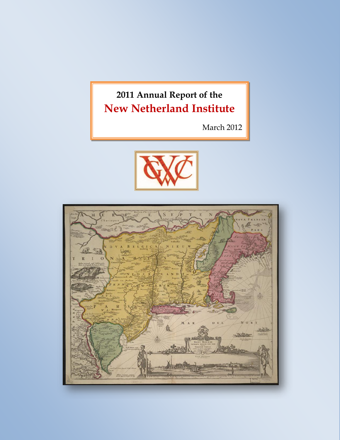# **2011 Annual Report of the New Netherland Institute**

March 2012



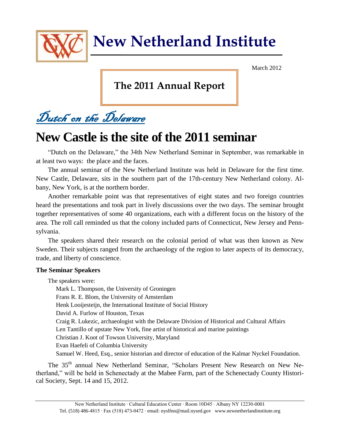

March 2012

## **The 2011 Annual Report**

Dutch on the Delaware

# **New Castle is the site of the 2011 seminar**

"Dutch on the Delaware," the 34th New Netherland Seminar in September, was remarkable in at least two ways: the place and the faces.

The annual seminar of the New Netherland Institute was held in Delaware for the first time. New Castle, Delaware, sits in the southern part of the 17th-century New Netherland colony. Albany, New York, is at the northern border.

Another remarkable point was that representatives of eight states and two foreign countries heard the presentations and took part in lively discussions over the two days. The seminar brought together representatives of some 40 organizations, each with a different focus on the history of the area. The roll call reminded us that the colony included parts of Connecticut, New Jersey and Pennsylvania.

The speakers shared their research on the colonial period of what was then known as New Sweden. Their subjects ranged from the archaeology of the region to later aspects of its democracy, trade, and liberty of conscience.

#### **The Seminar Speakers**

The speakers were:

Mark L. Thompson, the University of Groningen Frans R. E. Blom, the University of Amsterdam Henk Looijesteijn, the International Institute of Social History David A. Furlow of Houston, Texas Craig R. Lukezic, archaeologist with the Delaware Division of Historical and Cultural Affairs Len Tantillo of upstate New York, fine artist of historical and marine paintings Christian J. Koot of Towson University, Maryland Evan Haefeli of Columbia University Samuel W. Heed, Esq., senior historian and director of education of the Kalmar Nyckel Foundation.

The 35<sup>th</sup> annual New Netherland Seminar, "Scholars Present New Research on New Netherland," will be held in Schenectady at the Mabee Farm, part of the Schenectady County Historical Society, Sept. 14 and 15, 2012.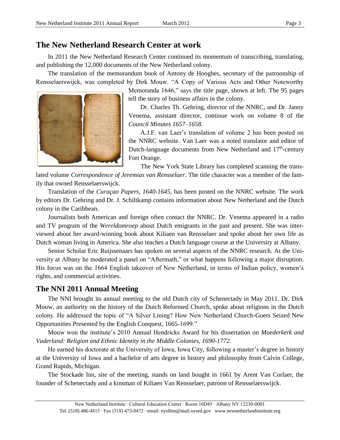### **The New Netherland Research Center at work**

In 2011 the New Netherland Research Center continued its momentum of transcribing, translating, and publishing the 12,000 documents of the New Netherland colony.

The translation of the memorandum book of Antony de Hooghes, secretary of the patroonship of Rensselaerswijck, was completed by Dirk Mouw. "A Copy of Various Acts and Other Noteworthy



Memoranda 1646," says the title page, shown at left. The 95 pages tell the story of business affairs in the colony.

Dr. Charles Th. Gehring, director of the NNRC, and Dr. Janny Venema, assistant director, continue work on volume 8 of the *Council Minutes 1657–1658*.

A.J.F. van Laer's translation of volume 2 has been posted on the NNRC website. [Van Laer](http://www.nysm.nysed.gov/albany/bios/staff/ajfvlaer.html#sources) was a noted translator and editor of Dutch-language documents from New Netherland and  $17<sup>th</sup>$ -century Fort Orange.

The New York State Library has completed scanning the trans-

lated volume *Correspondence of Jeremias van Rensselaer*. The title character was a member of the family that owned Rensselaerswijck.

Translation of the *Curaçao Papers, 1640-1645,* has been posted on the NNRC website. The work by editors Dr. Gehring and Dr. J. Schiltkamp contains information about New Netherland and the Dutch colony in the Caribbean.

Journalists both American and foreign often contact the NNRC. Dr. Venema appeared in a radio and TV program of the *Wereldomroep* about Dutch emigrants in the past and present. She was interviewed about her award-winning book about Kiliaen van Rensselaer and spoke about her own life as Dutch woman living in America. She also teaches a Dutch language course at the University at Albany.

Senior Scholar Eric Ruijssenaars has spoken on several aspects of the NNRC research. At the University at Albany he moderated a panel on "Aftermath," or what happens following a major disruption. His focus was on the 1664 English takeover of New Netherland, in terms of Indian policy, women's rights, and commercial activities.

### **The NNI 2011 Annual Meeting**

The NNI brought its annual meeting to the old Dutch city of Schenectady in May 2011. Dr. Dirk Mouw, an authority on the history of the Dutch Reformed Church, spoke about religions in the Dutch colony. He addressed the topic of "A Silver Lining? How New Netherland Church-Goers Seized New Opportunities Presented by the English Conquest, 1665-1699."

Mouw won the institute's 2010 Annual Hendricks Award for his dissertation on *Moederkerk and Vaderland: Religion and Ethnic Identity in the Middle Colonies, 1690-1772.*

He earned his doctorate at the University of Iowa, Iowa City, following a master's degree in history at the University of Iowa and a bachelor of arts degree in history and philosophy from Calvin College, Grand Rapids, Michigan.

The Stockade Inn, site of the meeting, stands on land bought in 1661 by Arent Van Corlaer, the founder of Schenectady and a kinsman of Kiliaen Van Rensselaer, patroon of Rensselaerswijck.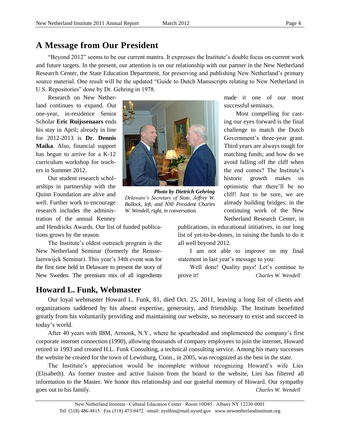### **A Message from Our President**

"Beyond 2012" seems to be our current mantra. It expresses the Institute's double focus on current work and future targets. In the present, our attention is on our relationship with our partner in the New Netherland Research Center, the State Education Department, for preserving and publishing New Netherland's primary source material. One result will be the updated "Guide to Dutch Manuscripts relating to New Netherland in U.S. Repositories" done by Dr. Gehring in 1978.

Research on New Netherland continues to expand. Our one-year, in-residence Senior Scholar **Eric Ruijssenaars** ends his stay in April; already in line for 2012-2013 is **Dr. Dennis Maika**. Also, financial support has begun to arrive for a K-12 curriculum workshop for teachers in Summer 2012.

Our student research scholarships in partnership with the Quinn Foundation are alive and well. Further work to encourage research includes the administration of the annual Kenney

and Hendricks Awards. Our list of funded publications grows by the season.

The Institute's oldest outreach program is the New Netherland Seminar (formerly the Rensselaerswijck Seminar). This year's 34th event was for the first time held in Delaware to present the story of New Sweden. The premium mix of all ingredients

### **Howard L. Funk, Webmaster**



*Photo by Dietrich Gehring Delaware's Secretary of State, Jeffrey W. Bullock, left, and NNI President Charles W. Wendell, right, in conversation.* 

made it one of our most successful seminars.

Most compelling for casting our eyes forward is the final challenge to match the Dutch Government's three-year grant. Third years are always tough for matching funds; and how do we avoid falling off the cliff when the end comes? The Institute's historic growth makes us optimistic that there'll be no cliff! Just to be sure, we are already building bridges: in the continuing work of the New Netherland Research Center, in

publications, in educational initiatives, in our long list of yet-to-be-dones, in raising the funds to do it all well beyond 2012.

I am not able to improve on my final statement in last year's message to you:

Well done! Quality pays! Let's continue to prove it! *Charles W. Wendell*

Our loyal webmaster Howard L. Funk, 81, died Oct. 25, 2011, leaving a long list of clients and organizations saddened by his absent expertise, generosity, and friendship. The Institute benefitted greatly from his voluntarily providing and maintaining our website, so necessary to exist and succeed in today's world.

After 40 years with IBM, Armonk, N.Y., where he spearheaded and implemented the company's first corporate internet connection (1990), allowing thousands of company employees to join the internet, Howard retired in 1993 and created H.L. Funk Consulting, a technical consulting service. Among his many successes the website he created for the town of Lewisburg, Conn., in 2005, was recognized as the best in the state.

The Institute's appreciation would be incomplete without recognizing Howard's wife Lies (Elisabeth). As former trustee and active liaison from the board to the website, Lies has filtered all information to the Master. We honor this relationship and our grateful memory of Howard. Our sympathy goes out to his family. **Charles W. Wendell**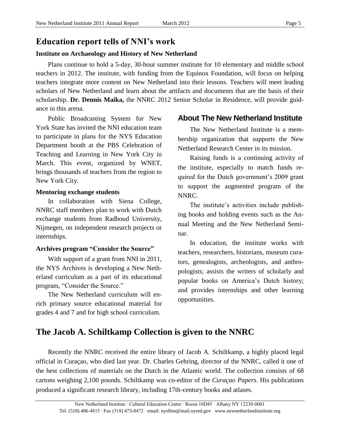### **Education report tells of NNI's work**

### **Institute on Archaeology and History of New Netherland**

Plans continue to hold a 5-day, 30-hour summer institute for 10 elementary and middle school teachers in 2012. The institute, with funding from the Equinox Foundation, will focus on helping teachers integrate more content on New Netherland into their lessons. Teachers will meet leading scholars of New Netherland and learn about the artifacts and documents that are the basis of their scholarship. **Dr. Dennis Maika,** the NNRC 2012 Senior Scholar in Residence, will provide guidance in this arena.

Public Broadcasting System for New York State has invited the NNI education team to participate in plans for the NYS Education Department booth at the PBS Celebration of Teaching and Learning in New York City in March. This event, organized by WNET, brings thousands of teachers from the region to New York City.

#### **Mentoring exchange students**

In collaboration with Siena College, NNRC staff members plan to work with Dutch exchange students from Radboud University, Nijmegen, on independent research projects or internships.

### **Archives program "Consider the Source"**

With support of a grant from NNI in 2011, the NYS Archives is developing a New Netherland curriculum as a part of its educational program, "Consider the Source."

The New Netherland curriculum will enrich primary source educational material for grades 4 and 7 and for high school curriculum.

### **About The New Netherland Institute**

The New Netherland Institute is a membership organization that supports the New Netherland Research Center in its mission.

Raising funds is a continuing activity of the institute, especially to match funds required for the Dutch government's 2009 grant to support the augmented program of the NNRC.

The institute's activities include publishing books and holding events such as the Annual Meeting and the New Netherland Seminar.

In education, the institute works with teachers, researchers, historians, museum curators, genealogists, archeologists, and anthropologists; assists the writers of scholarly and popular books on America's Dutch history; and provides internships and other learning opportunities.

### **The Jacob A. Schiltkamp Collection is given to the NNRC**

Recently the NNRC received the entire library of Jacob A. Schiltkamp, a highly placed legal official in Curaçao, who died last year. Dr. Charles Gehring, director of the NNRC, called it one of the best collections of materials on the Dutch in the Atlantic world. The collection consists of 68 cartons weighing 2,100 pounds. Schiltkamp was co-editor of the *Curaçao Papers*. His publications produced a significant research library, including 17th-century books and atlases.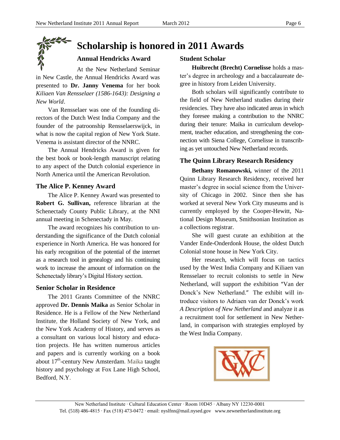# **Scholarship is honored in 2011 Awards**

### **Annual Hendricks Award**

At the New Netherland Seminar in New Castle, the Annual Hendricks Award was presented to **Dr. Janny Venema** for her book *[Kiliaen Van Rensselaer \(1586-1643\): Designing a](http://www.amazon.com/gp/product/9087041969?ie=UTF8&tag=friendsofnewneth&linkCode=as2&camp=1789&creative=9325&creativeASIN=9087041969)  [New World.](http://www.amazon.com/gp/product/9087041969?ie=UTF8&tag=friendsofnewneth&linkCode=as2&camp=1789&creative=9325&creativeASIN=9087041969)*

Van Rensselaer was one of the founding directors of the Dutch West India Company and the founder of the patroonship Rensselaerswijck, in what is now the capital region of New York State. Venema is assistant director of the NNRC.

The Annual Hendricks Award is given for the best book or book-length manuscript relating to any aspect of the Dutch colonial experience in North America until the American Revolution.

### **The Alice P. Kenney Award**

The Alice P. Kenney Award was presented to **Robert G. Sullivan,** reference librarian at the Schenectady County Public Library, at the NNI annual meeting in Schenectady in May.

The award recognizes his contribution to understanding the significance of the Dutch colonial experience in North America. He was honored for his early recognition of the potential of the internet as a research tool in genealogy and his continuing work to increase the amount of information on the Schenectady library's Digital History section.

### **Senior Scholar in Residence**

The 2011 Grants Committee of the NNRC approved **Dr. Dennis Maika** as Senior Scholar in Residence. He is a Fellow of the New Netherland Institute, the Holland Society of New York, and the New York Academy of History, and serves as a consultant on various local history and education projects. He has written numerous articles and papers and is currently working on a book about 17<sup>th</sup>-century New Amsterdam. Maika taught history and psychology at Fox Lane High School, Bedford, N.Y.

### **Student Scholar**

**Huibrecht (Brecht) Cornelisse** holds a master's degree in archeology and a baccalaureate degree in history from Leiden University.

Both scholars will significantly contribute to the field of New Netherland studies during their residencies. They have also indicated areas in which they foresee making a contribution to the NNRC during their tenure: Maika in curriculum development, teacher education, and strengthening the connection with Siena College, Cornelisse in transcribing as yet untouched New Netherland records.

### **The Quinn Library Research Residency**

**Bethany Romanowski,** winner of the 2011 Quinn Library Research Residency, received her master's degree in social science from the University of Chicago in 2002. Since then she has worked at several New York City museums and is currently employed by the Cooper-Hewitt, National Design Museum, Smithsonian Institution as a collections registrar.

She will guest curate an exhibition at the Vander Ende-Onderdonk House, the oldest Dutch Colonial stone house in New York City.

Her research, which will focus on tactics used by the West India Company and Kiliaen van Rensselaer to recruit colonists to settle in New Netherland, will support the exhibition "Van der Donck's New Netherland." The exhibit will introduce visitors to Adriaen van der Donck's work *A Description of New Netherland* and analyze it as a recruitment tool for settlement in New Netherland, in comparison with strategies employed by the West India Company.

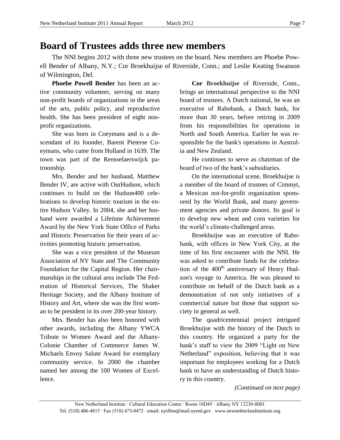## **Board of Trustees adds three new members**

The NNI begins 2012 with three new trustees on the board. New members are Phoebe Powell Bender of Albany, N.Y.; Cor Broekhuijse of Riverside, Conn.; and Leslie Keating Swanson of Wilmington, Del.

**Phoebe Powell Bender** has been an active community volunteer, serving on many non-profit boards of organizations in the areas of the arts, public policy, and reproductive health. She has been president of eight nonprofit organizations.

She was born in Coeymans and is a descendant of its founder, Barent Pieterse Coeymans, who came from Holland in 1639. The town was part of the Rensselaerswijck patroonship.

Mrs. Bender and her husband, Matthew Bender IV, are active with OurHudson, which continues to build on the Hudson400 celebrations to develop historic tourism in the entire Hudson Valley. In 2004, she and her husband were awarded a Lifetime Achievement Award by the New York State Office of Parks and Historic Preservation for their years of activities promoting historic preservation.

She was a vice president of the Museum Association of NY State and The Community Foundation for the Capital Region. Her chairmanships in the cultural area include The Federation of Historical Services, The Shaker Heritage Society, and the Albany Institute of History and Art, where she was the first woman to be president in its over 200-year history.

Mrs. Bender has also been honored with other awards, including the Albany YWCA Tribute to Women Award and the Albany-Colonie Chamber of Commerce James W. Michaels Envoy Salute Award for exemplary community service. In 2000 the chamber named her among the 100 Women of Excellence.

**Cor Broekhuijse** of Riverside, Conn., brings an international perspective to the NNI board of trustees. A Dutch national, he was an executive of Rabobank, a Dutch bank, for more than 30 years, before retiring in 2009 from his responsibilities for operations in North and South America. Earlier he was responsible for the bank's operations in Australia and New Zealand.

He continues to serve as chairman of the board of two of the bank's subsidiaries.

On the international scene, Broekhuijse is a member of the board of trustees of Cimmyt, a Mexican not-for-profit organization sponsored by the World Bank, and many government agencies and private donors. Its goal is to develop new wheat and corn varieties for the world's climate-challenged areas.

Broekhuijse was an executive of Rabobank, with offices in New York City, at the time of his first encounter with the NNI. He was asked to contribute funds for the celebration of the  $400<sup>th</sup>$  anniversary of Henry Hudson's voyage to America. He was pleased to contribute on behalf of the Dutch bank as a demonstration of not only initiatives of a commercial nature but those that support society in general as well.

The quadricentennial project intrigued Broekhuijse with the history of the Dutch in this country. He organized a party for the bank's staff to view the 2009 "Light on New Netherland" exposition, believing that it was important for employees working for a Dutch bank to have an understanding of Dutch history in this country.

*(Continued on next page)*